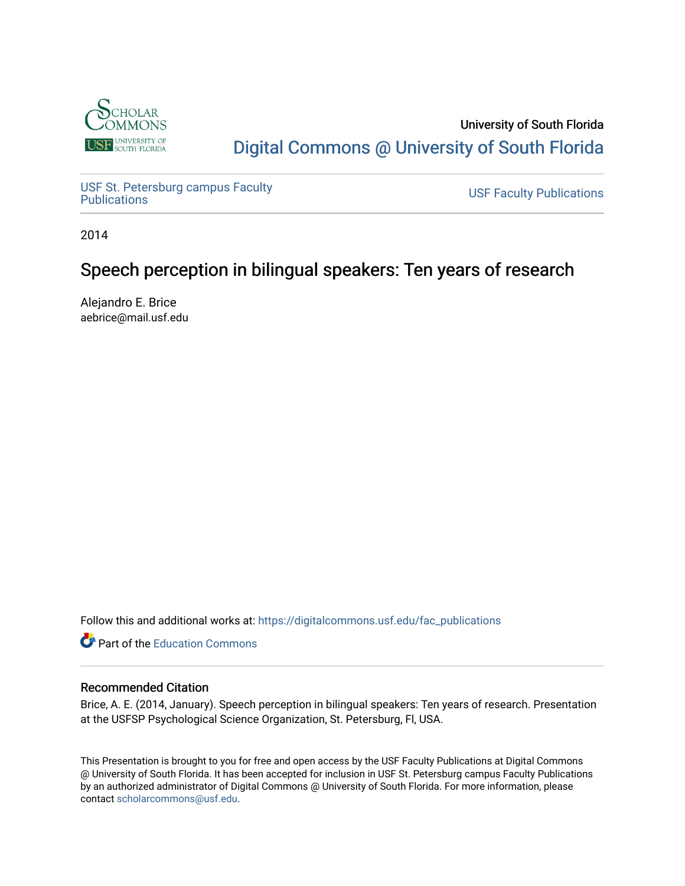

# University of South Florida [Digital Commons @ University of South Florida](https://digitalcommons.usf.edu/)

USF St. Petersburg campus Faculty<br>Publications

**USF Faculty Publications** 

2014

# Speech perception in bilingual speakers: Ten years of research

Alejandro E. Brice aebrice@mail.usf.edu

Follow this and additional works at: [https://digitalcommons.usf.edu/fac\\_publications](https://digitalcommons.usf.edu/fac_publications?utm_source=digitalcommons.usf.edu%2Ffac_publications%2F395&utm_medium=PDF&utm_campaign=PDFCoverPages)

**C** Part of the [Education Commons](http://network.bepress.com/hgg/discipline/784?utm_source=digitalcommons.usf.edu%2Ffac_publications%2F395&utm_medium=PDF&utm_campaign=PDFCoverPages)

## Recommended Citation

Brice, A. E. (2014, January). Speech perception in bilingual speakers: Ten years of research. Presentation at the USFSP Psychological Science Organization, St. Petersburg, Fl, USA.

This Presentation is brought to you for free and open access by the USF Faculty Publications at Digital Commons @ University of South Florida. It has been accepted for inclusion in USF St. Petersburg campus Faculty Publications by an authorized administrator of Digital Commons @ University of South Florida. For more information, please contact [scholarcommons@usf.edu](mailto:scholarcommons@usf.edu).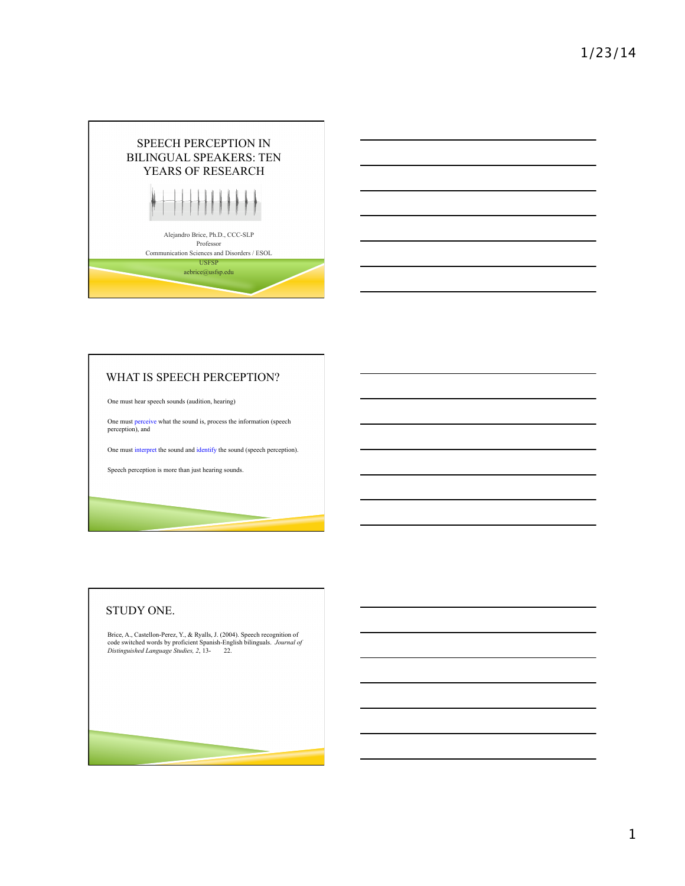

## WHAT IS SPEECH PERCEPTION?

One must hear speech sounds (audition, hearing)

One must perceive what the sound is, process the information (speech perception), and

One must interpret the sound and identify the sound (speech perception).

Speech perception is more than just hearing sounds.

## STUDY ONE.

Brice, A., Castellon-Perez, Y., & Ryalls, J. (2004). Speech recognition of code switched words by proficient Spanish-English bilinguals. *Journal of Distinguished Language Studies, 2*, 13- 22.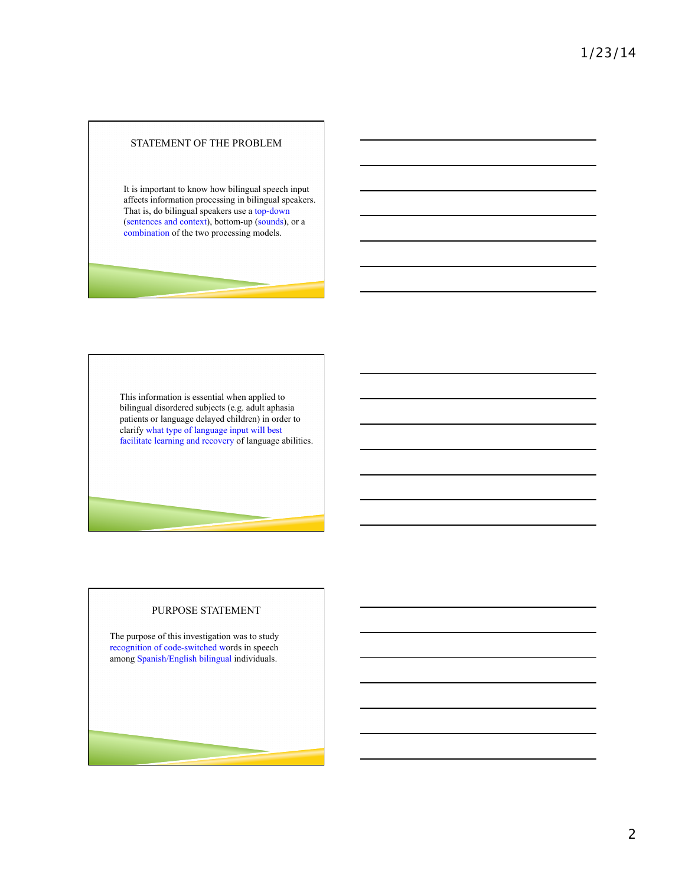## STATEMENT OF THE PROBLEM

It is important to know how bilingual speech input affects information processing in bilingual speakers. That is, do bilingual speakers use a top-down (sentences and context), bottom-up (sounds), or a combination of the two processing models.

This information is essential when applied to bilingual disordered subjects (e.g. adult aphasia patients or language delayed children) in order to clarify what type of language input will best facilitate learning and recovery of language abilities.

#### PURPOSE STATEMENT

The purpose of this investigation was to study recognition of code-switched words in speech among Spanish/English bilingual individuals.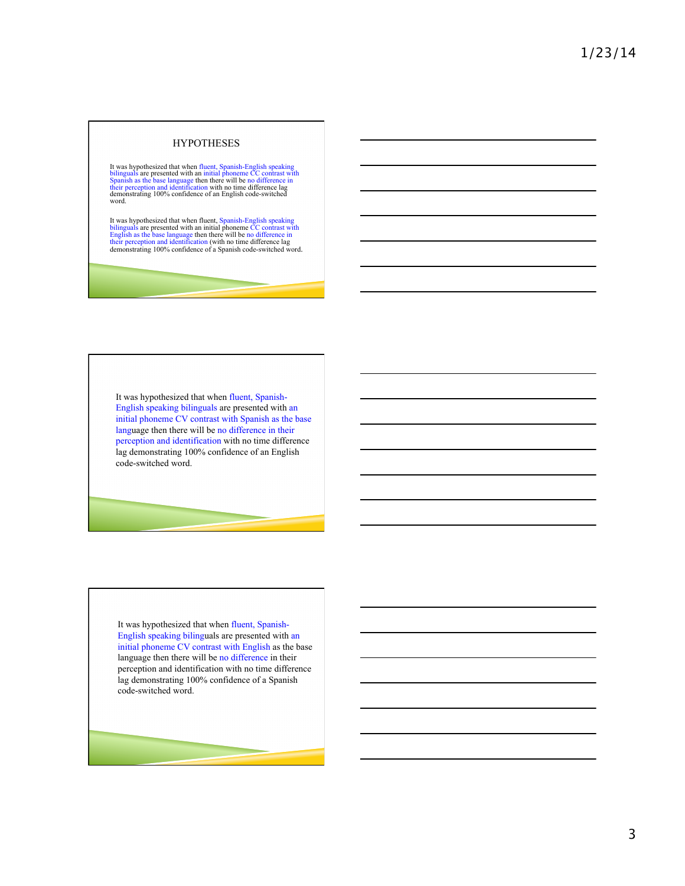#### **HYPOTHESES**

It was hypothesized that when fluent, Spanish-English speaking<br>bilinguals are presented with an initial phoneme CC contrast with<br>Spanish as the base language then there will be no difference in<br>their perception and identif word.

It was hypothesized that when fluent, Spanish-English speaking<br>bilinguals are presented with an initial phoneme CC contrast with<br>English as the base language then there will be no difference in<br>their perception and identif demonstrating 100% confidence of a Spanish code-switched word.

It was hypothesized that when fluent, Spanish-English speaking bilinguals are presented with an initial phoneme CV contrast with Spanish as the base language then there will be no difference in their perception and identification with no time difference lag demonstrating 100% confidence of an English code-switched word.

It was hypothesized that when fluent, Spanish-English speaking bilinguals are presented with an initial phoneme CV contrast with English as the base language then there will be no difference in their perception and identification with no time difference lag demonstrating 100% confidence of a Spanish code-switched word.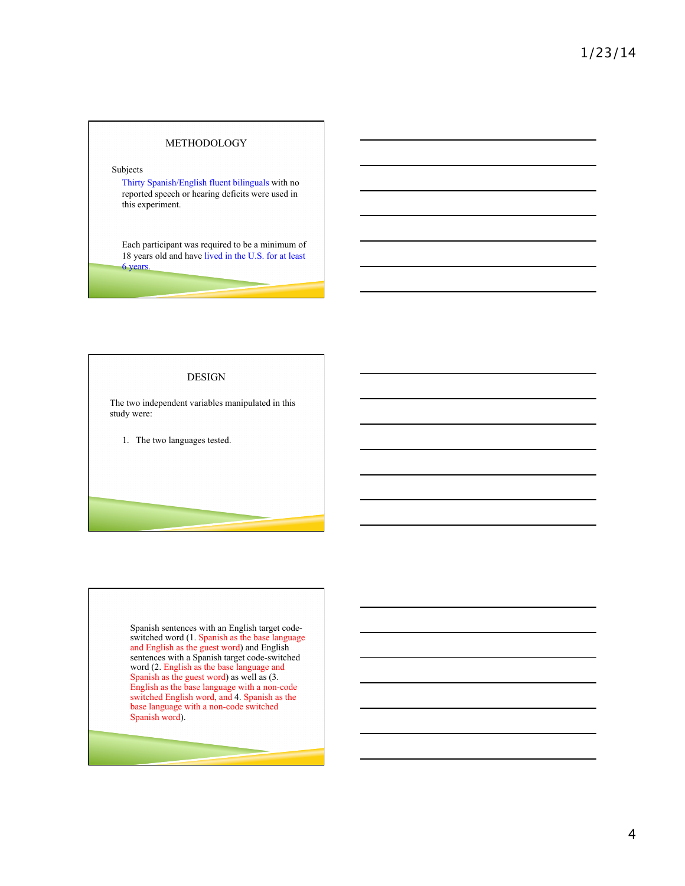## METHODOLOGY

#### Subjects

Thirty Spanish/English fluent bilinguals with no reported speech or hearing deficits were used in this experiment.

Each participant was required to be a minimum of 18 years old and have lived in the U.S. for at least 6 years.

#### DESIGN

The two independent variables manipulated in this study were:

1. The two languages tested.

Spanish sentences with an English target codeswitched word (1. Spanish as the base language and English as the guest word) and English sentences with a Spanish target code-switched word (2. English as the base language and Spanish as the guest word) as well as (3. English as the base language with a non-code switched English word, and 4. Spanish as the base language with a non-code switched Spanish word).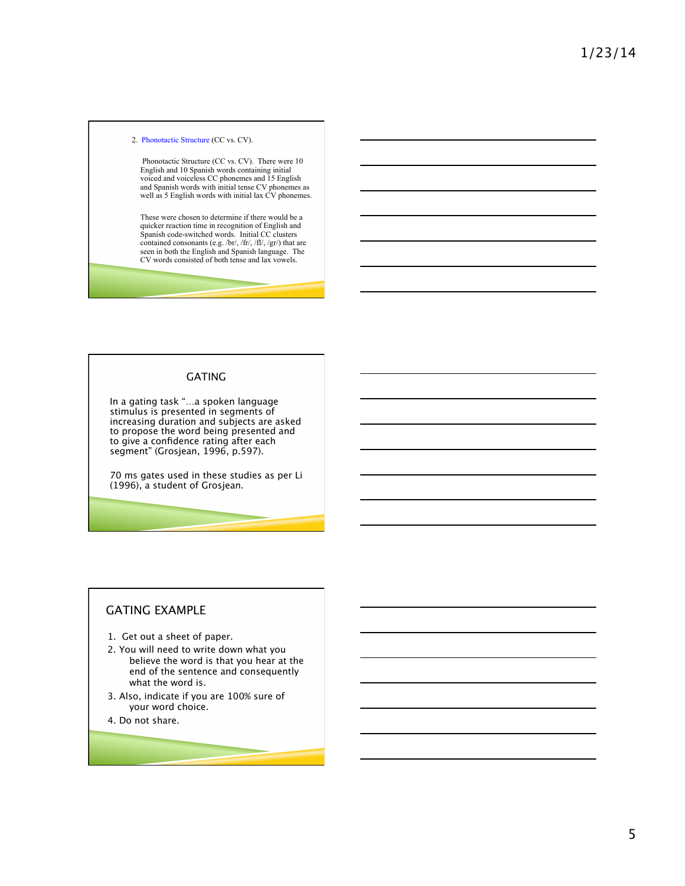#### 2. Phonotactic Structure (CC vs. CV).

Phonotactic Structure (CC vs. CV). There were 10 English and 10 Spanish words containing initial<br>voiced and voiceless CC phonemes and 15 English<br>and Spanish words with initial tense CV phonemes as<br>well as 5 English words with initial lax CV phonemes.

These were chosen to determine if there would be a quicker reaction time in recognition of English and Spanish code-switched words. Initial CC clusters contained consonants (e.g. /br/, /fr/, /fl/, /gr/) that are seen in both the English and Spanish language. The CV words consisted of both tense and lax vowels.

#### GATING

In a gating task "…a spoken language stimulus is presented in segments of increasing duration and subjects are asked to propose the word being presented and to give a confidence rating after each segment" (Grosjean, 1996, p.597).

70 ms gates used in these studies as per Li (1996), a student of Grosjean.

## GATING EXAMPLE

- 1. Get out a sheet of paper.
- 2. You will need to write down what you believe the word is that you hear at the end of the sentence and consequently what the word is.
- 3. Also, indicate if you are 100% sure of your word choice.
- 4. Do not share.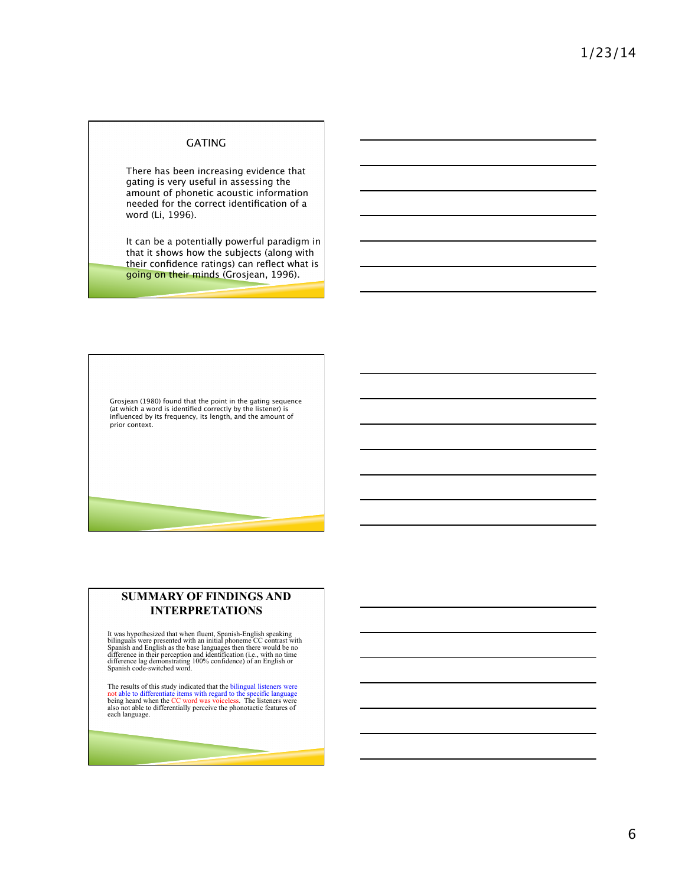#### GATING

There has been increasing evidence that gating is very useful in assessing the amount of phonetic acoustic information needed for the correct identification of a word (Li, 1996).

It can be a potentially powerful paradigm in that it shows how the subjects (along with their confidence ratings) can reflect what is going on their minds (Grosjean, 1996).

Grosjean (1980) found that the point in the gating sequence (at which a word is identified correctly by the listener) is influenced by its frequency, its length, and the amount of prior context.

## **SUMMARY OF FINDINGS AND INTERPRETATIONS**

It was hypothesized that when fluent, Spanish-English speaking<br>bilinguals were presented with an initial phoneme CC contrast with<br>Spanish and English as the base languages then there would be no<br>difference in their percept

The results of this study indicated that the bilingual listeners were<br>not able to differentiate items with regard to the specific language<br>being heard when the CC word was voiceless. The listeners were<br>also not able to dif each language.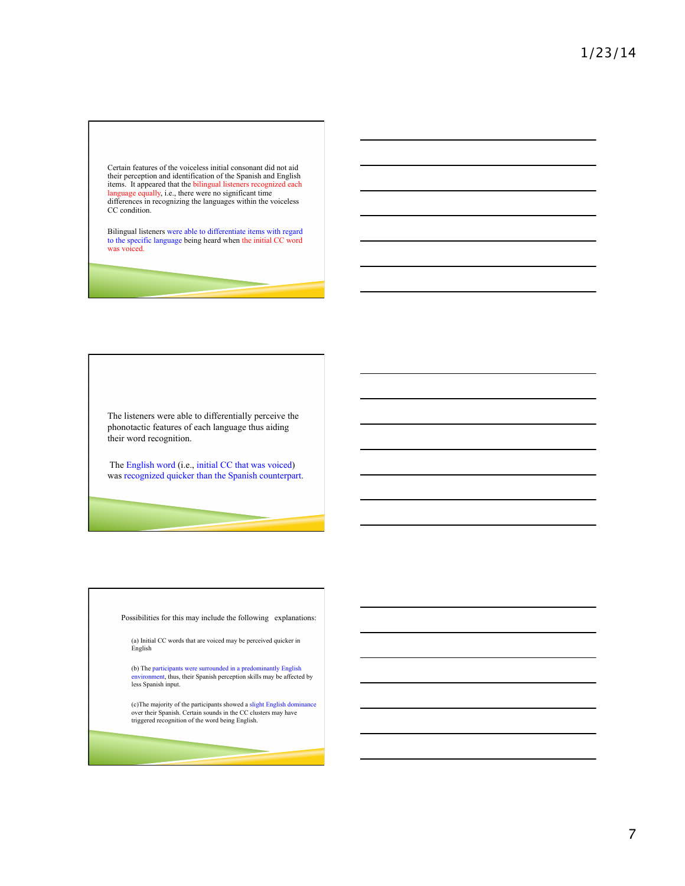Certain features of the voiceless initial consonant did not aid their perception and identification of the Spanish and English<br>tiems. It appeared that the bilingual listeners recognized each<br>language equally, i.e., there were no significant time<br>differences in recognizing the languages CC condition.

Bilingual listeners were able to differentiate items with regard to the specific language being heard when the initial CC word was voiced.

The listeners were able to differentially perceive the phonotactic features of each language thus aiding their word recognition.

 The English word (i.e., initial CC that was voiced) was recognized quicker than the Spanish counterpart.

Possibilities for this may include the following explanations:

(a) Initial CC words that are voiced may be perceived quicker in English

(b) The participants were surrounded in a predominantly English environment, thus, their Spanish perception skills may be affected by less Spanish input.

(c)The majority of the participants showed a slight English dominance over their Spanish. Certain sounds in the CC clusters may have triggered recognition of the word being English.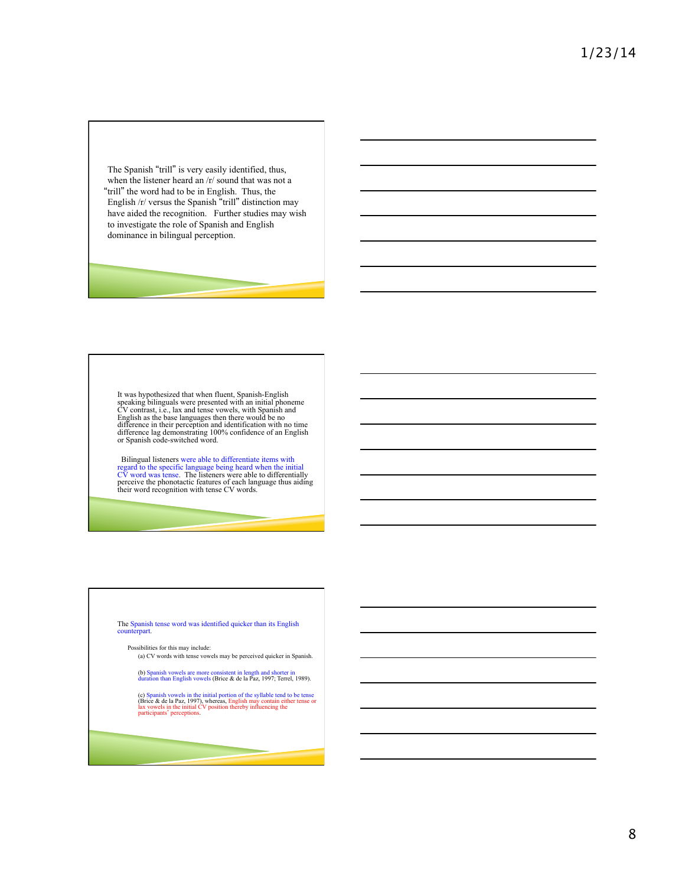The Spanish "trill" is very easily identified, thus, when the listener heard an /r/ sound that was not a "trill" the word had to be in English. Thus, the English /r/ versus the Spanish "trill" distinction may have aided the recognition. Further studies may wish to investigate the role of Spanish and English dominance in bilingual perception.

It was hypothesized that when fluent, Spanish-English<br>speaking bilinguals were presented with an initial phoneme<br>CV contrast, i.e., lax and tense vowels, with Spanish and<br>English as the base languages then there would be n difference lag demonstrating 100% confidence of an English or Spanish code-switched word.

Bilingual listeners were able to differentiate items with<br>regard to the specific language being heard when the initial<br>CV word was tense. The listeners were able to differentially<br>perceive the phonotactic features of each

The Spanish tense word was identified quicker than its English counterpart.

Possibilities for this may include:

(a) CV words with tense vowels may be perceived quicker in Spanish.

(b) Spanish vowels are more consistent in length and shorter in duration than English vowels (Brice & de la Paz, 1997; Terrel, 1989).

(c) Spanish vowels in the initial portion of the syllable tend to be tense<br>(Brice & de la Paz, 1997), whereas, English may contain either tense or<br>lax vowels in the initial CV position thereby influencing the<br>participants'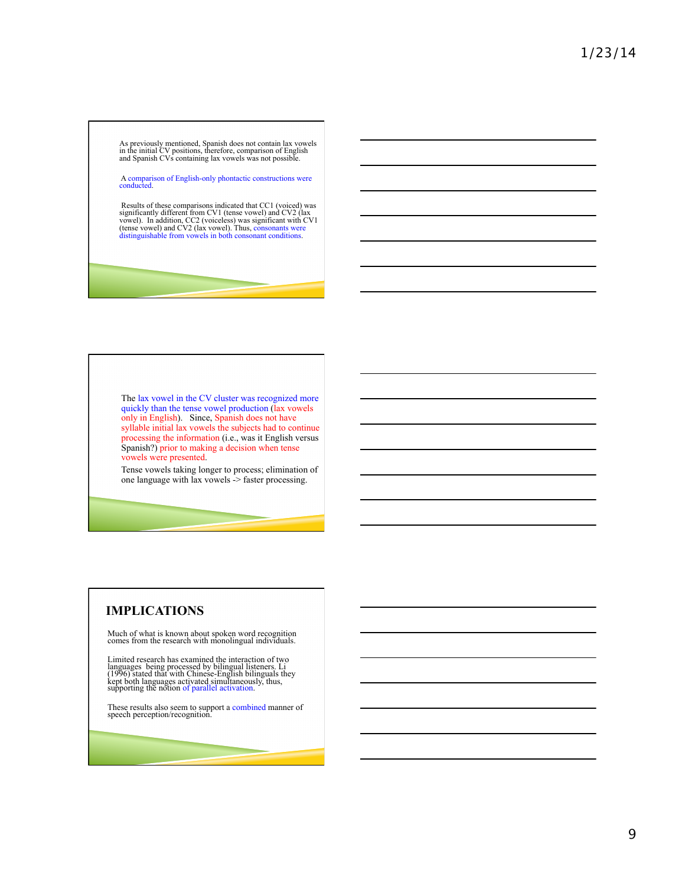As previously mentioned, Spanish does not contain lax vowels in the initial CV positions, therefore, comparison of English and Spanish CVs containing lax vowels was not possible.

A comparison of English-only phontactic constructions were conducted.

Results of these comparisons indicated that CC1 (voiced) was<br>significantly different from CV1 (tense vowel) and CV2 (lax<br>vowel). In addition, CC2 (voiceless) was significant with CV1<br>(tense vowel) and CV2 (lax vowel). Thus

The lax vowel in the CV cluster was recognized more quickly than the tense vowel production (lax vowels only in English). Since, Spanish does not have syllable initial lax vowels the subjects had to continue processing the information (i.e., was it English versus Spanish?) prior to making a decision when tense vowels were presented.

Tense vowels taking longer to process; elimination of one language with lax vowels -> faster processing.

## **IMPLICATIONS**

Much of what is known about spoken word recognition comes from the research with monolingual individuals.

Limited research has examined the interaction of two<br>languages being processed by bilingual listeners. Li<br>(1996) stated that with Chinese-English bilinguals they<br>kept both languages activated simultaneously, thus,<br>supporti

These results also seem to support a combined manner of speech perception/recognition.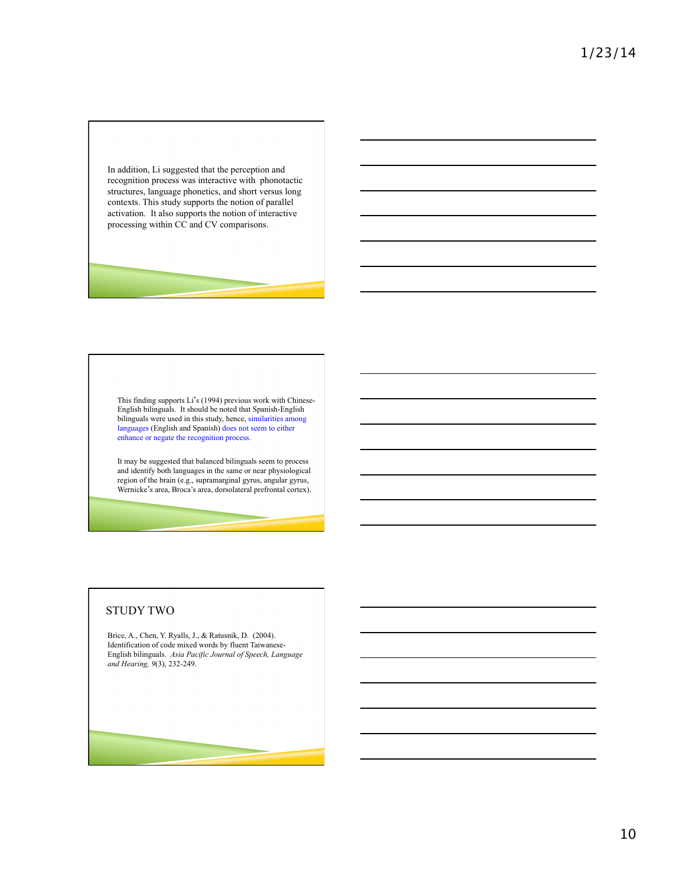In addition, Li suggested that the perception and recognition process was interactive with phonotactic structures, language phonetics, and short versus long contexts. This study supports the notion of parallel activation. It also supports the notion of interactive processing within CC and CV comparisons.

This finding supports Li's (1994) previous work with Chinese-English bilinguals. It should be noted that Spanish-English bilinguals were used in this study, hence, similarities among languages (English and Spanish) does not seem to either enhance or negate the recognition process.

It may be suggested that balanced bilinguals seem to process and identify both languages in the same or near physiological region of the brain (e.g., supramarginal gyrus, angular gyrus, Wernicke's area, Broca's area, dorsolateral prefrontal cortex).

## STUDY TWO

Brice, A., Chen, Y. Ryalls, J., & Ratusnik, D. (2004). Identification of code mixed words by fluent Taiwanese-English bilinguals. *Asia Pacific Journal of Speech, Language and Hearing, 9*(3), 232-249.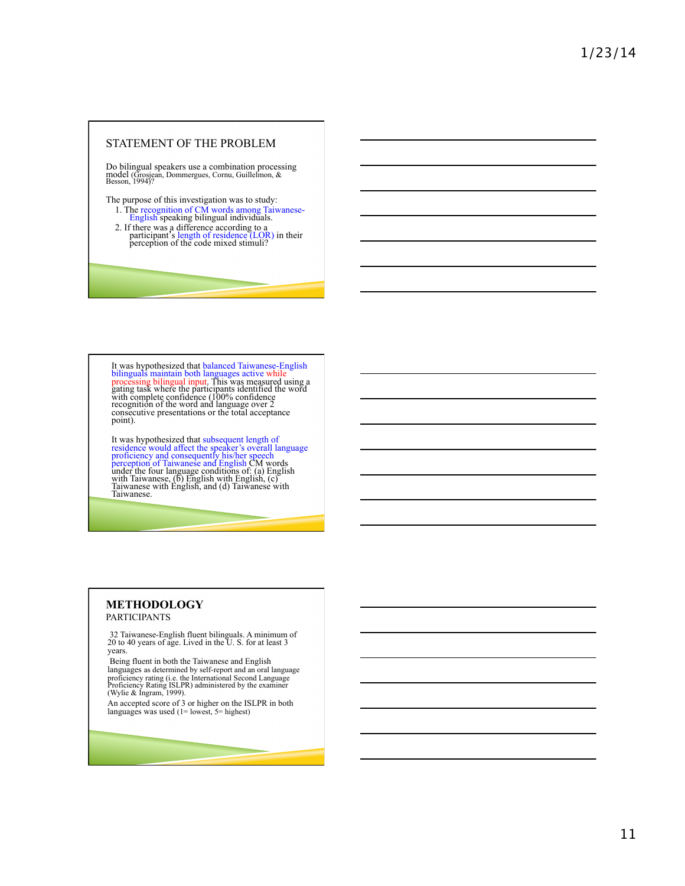## STATEMENT OF THE PROBLEM

Do bilingual speakers use a combination processing model (Grosjean, Dommergues, Cornu, Guillelmon, & Besson, 1994)?

- The purpose of this investigation was to study: 1. The recognition of CM words among Taiwanese-<br>English speaking bilingual individuals.
- 2. If there was a difference according to a participant's length of residence (LOR) in their perception of the code mixed stimuli?

It was hypothesized that balanced Taiwanese-English bilinguals maintain both languages active while processing bilingual input. This was measured using a gating task where the participants identified the word<br>with complete confudence (100% confudence<br>recognition of the word and language over 2<br>consecutive presentations o

It was hypothesized that subsequent length of<br>residence would affect the speaker's overall language<br>proficiency and consequently his/her speech<br>perception of Taiwanese and English CM words<br>under the four language condition

#### **METHODOLOGY** PARTICIPANTS

 32 Taiwanese-English fluent bilinguals. A minimum of 20 to 40 years of age. Lived in the U. S. for at least 3 years.

 Being fluent in both the Taiwanese and English languages as determined by self-report and an oral language proficiency rating (i.e. the International Second Language Proficiency Rating ISLPR) administered by the examiner (Wylie & Ingram, 1999).

An accepted score of 3 or higher on the ISLPR in both languages was used  $(1=$  lowest,  $5=$  highest)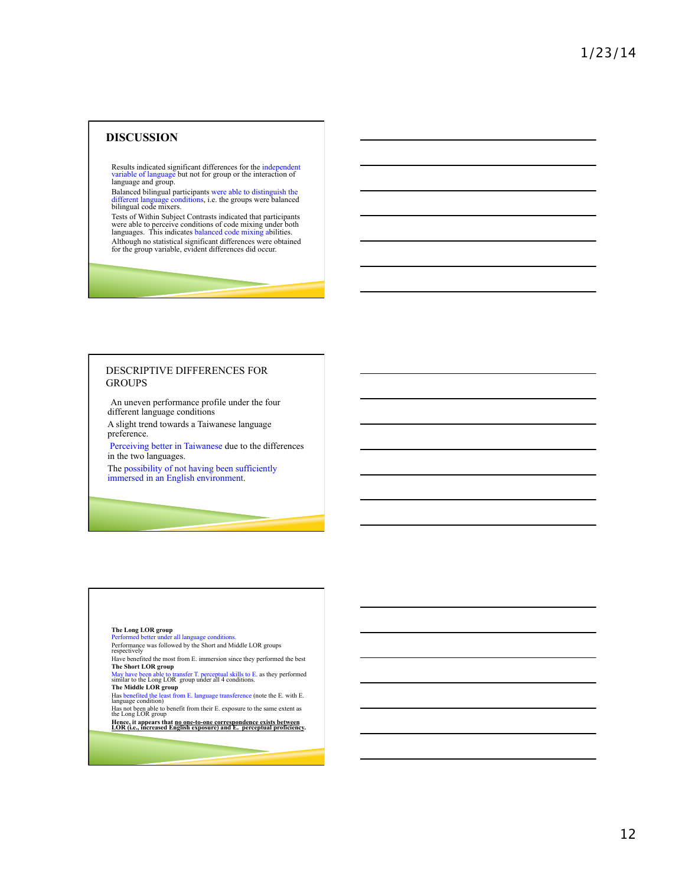## **DISCUSSION**

Results indicated significant differences for the independent variable of language but not for group or the interaction of language and group.

Balanced bilingual participants were able to distinguish the different language conditions, i.e. the groups were balanced bilingual code mixers.

Tests of Within Subject Contrasts indicated that participants were able to perceive conditions of code mixing under both languages. This indicates balanced code mixing abilities. Although no statistical significant differences were obtained for the group variable, evident differences did occur.

#### DESCRIPTIVE DIFFERENCES FOR **GROUPS**

An uneven performance profile under the four different language conditions A slight trend towards a Taiwanese language preference.

Perceiving better in Taiwanese due to the differences in the two languages.

The possibility of not having been sufficiently immersed in an English environment.

**The Long LOR group** Performed better under all language conditions. Performance was followed by the Short and Middle LOR groups respectively

Have benefited the most from E. immersion since they performed the best

**The Short LOR group**<br>May have been able to transfer T. perceptual skills to E. as they performed<br>similar to the Long LOR group under all 4 conditions. **The Middle LOR group**

Has benefited the least from E. language transference (note the E. with E.<br>language condition)<br>Has not been able to benefit from their E. exposure to the same extent as<br>the Long LOR group<br>**Hence, it appears that <u>no</u>** one-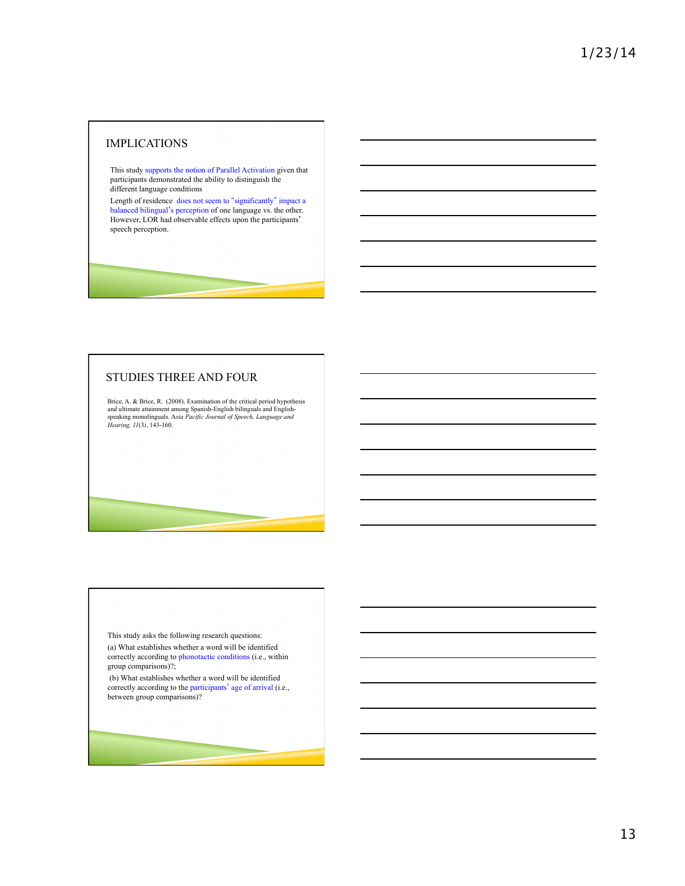## IMPLICATIONS

This study supports the notion of Parallel Activation given that participants demonstrated the ability to distinguish the different language conditions

Length of residence does not seem to "significantly" impact a balanced bilingual's perception of one language vs. the other. However, LOR had observable effects upon the participants' speech perception.

## STUDIES THREE AND FOUR

Brice, A. & Brice, R. (2008). Examination of the critical period hypothesis and ultimate attainment among Spanish-English bilinguals and English-speaking monolinguals. Asia *Pacific Journal of Speech*, *Language and Hearin* 

This study asks the following research questions: (a) What establishes whether a word will be identified correctly according to phonotactic conditions (i.e., within group comparisons)?;

 (b) What establishes whether a word will be identified correctly according to the participants' age of arrival (i.e., between group comparisons)?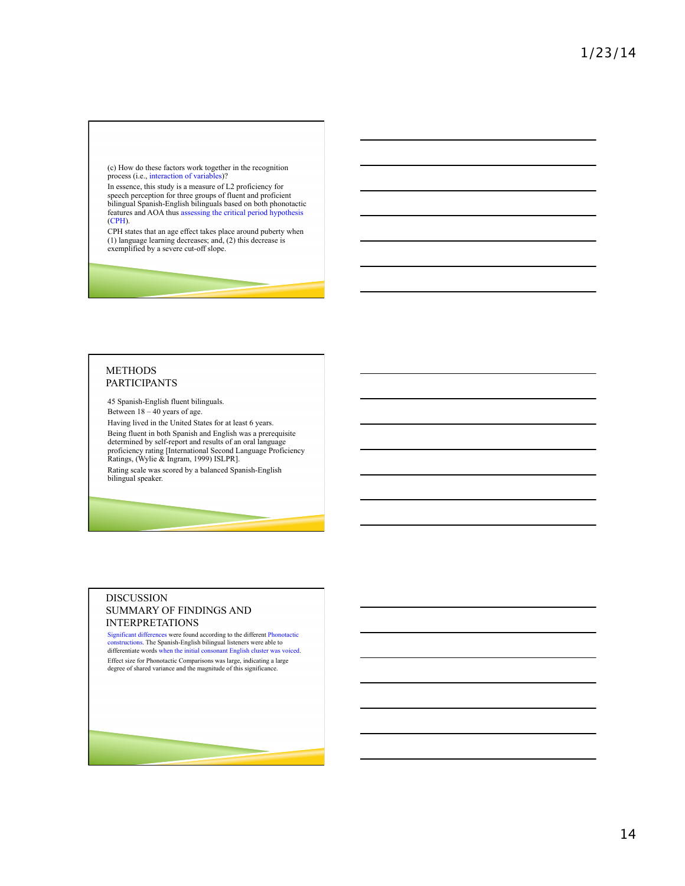(c) How do these factors work together in the recognition process (i.e., interaction of variables)?

In essence, this study is a measure of L2 proficiency for speech perception for three groups of fluent and proficient bilingual Spanish-English bilinguals based on both phonotactic features and AOA thus assessing the critical period hypothesis (CPH).

CPH states that an age effect takes place around puberty when (1) language learning decreases; and, (2) this decrease is exemplified by a severe cut-off slope.

## **METHODS** PARTICIPANTS

45 Spanish-English fluent bilinguals. Between  $18 - 40$  years of age.

Having lived in the United States for at least 6 years.

Being fluent in both Spanish and English was a prerequisite determined by self-report and results of an oral language proficiency rating [International Second Language Proficiency Ratings, (Wylie & Ingram, 1999) ISLPR].

Rating scale was scored by a balanced Spanish-English bilingual speaker.

#### DISCUSSION SUMMARY OF FINDINGS AND INTERPRETATIONS

Significant differences were found according to the different Phonotactic constructions. The Spanish-English bilingual listeners were able to differentiate words when the initial consonant English cluster was voiced. Effect size for Phonotactic Comparisons was large, indicating a large degree of shared variance and the magnitude of this significance.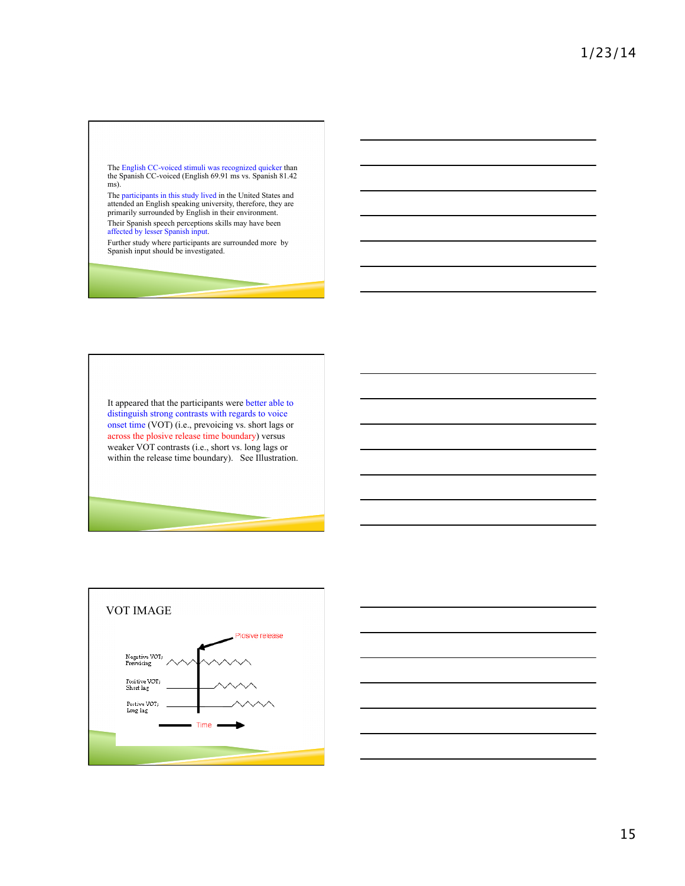

The participants in this study lived in the United States and attended an English speaking university, therefore, they are primarily surrounded by English in their environment.

Their Spanish speech perceptions skills may have been affected by lesser Spanish input.

Further study where participants are surrounded more by Spanish input should be investigated.

It appeared that the participants were better able to distinguish strong contrasts with regards to voice onset time (VOT) (i.e., prevoicing vs. short lags or across the plosive release time boundary) versus weaker VOT contrasts (i.e., short vs. long lags or within the release time boundary). See Illustration.



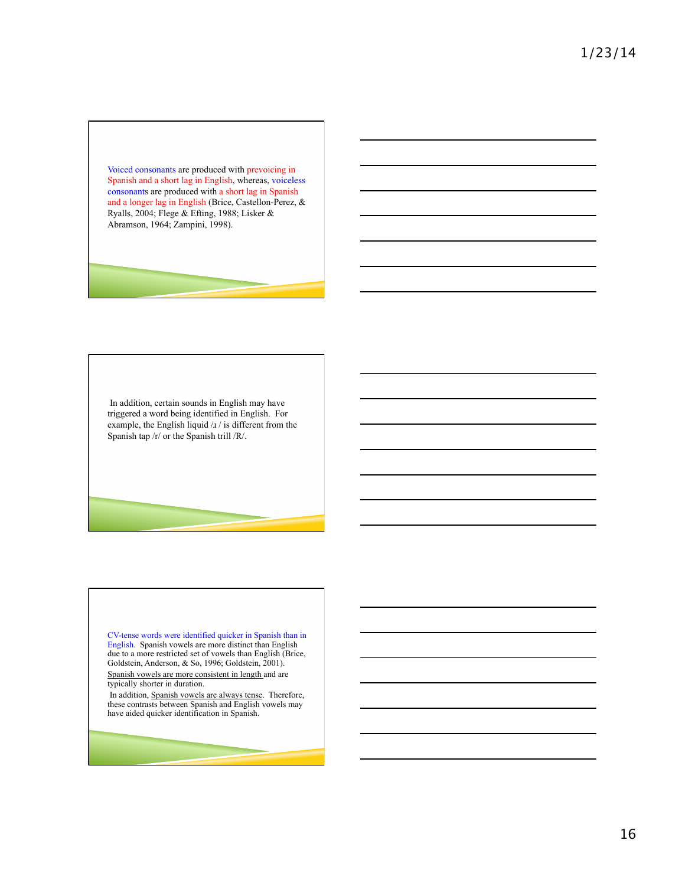Voiced consonants are produced with prevoicing in Spanish and a short lag in English, whereas, voiceless consonants are produced with a short lag in Spanish and a longer lag in English (Brice, Castellon-Perez, & Ryalls, 2004; Flege & Efting, 1988; Lisker & Abramson, 1964; Zampini, 1998).

 In addition, certain sounds in English may have triggered a word being identified in English. For example, the English liquid /ɹ / is different from the Spanish tap /r/ or the Spanish trill /R/.

CV-tense words were identified quicker in Spanish than in English. Spanish vowels are more distinct than English due to a more restricted set of vowels than English (Brice, Goldstein, Anderson, & So, 1996; Goldstein, 2001).

Spanish vowels are more consistent in length and are typically shorter in duration.

 In addition, Spanish vowels are always tense. Therefore, these contrasts between Spanish and English vowels may have aided quicker identification in Spanish.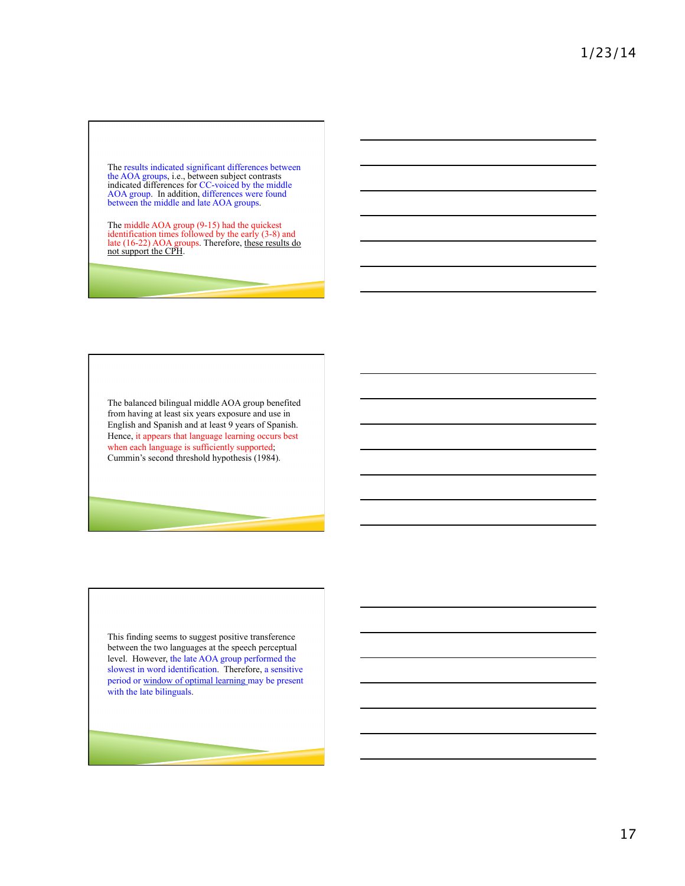The results indicated significant differences between the AOA groups, i.e., between subject contrasts indicated differences for CC-voiced by the middle AOA group. In addition, differences were found between the middle and late AOA groups.

The middle AOA group (9-15) had the quickest<br>identification times followed by the early (3-8) and<br>late (16-22) AOA groups. Therefore, these results do not support the CPH.

The balanced bilingual middle AOA group benefited from having at least six years exposure and use in English and Spanish and at least 9 years of Spanish. Hence, it appears that language learning occurs best when each language is sufficiently supported; Cummin's second threshold hypothesis (1984).

This finding seems to suggest positive transference between the two languages at the speech perceptual level. However, the late AOA group performed the slowest in word identification. Therefore, a sensitive period or window of optimal learning may be present with the late bilinguals.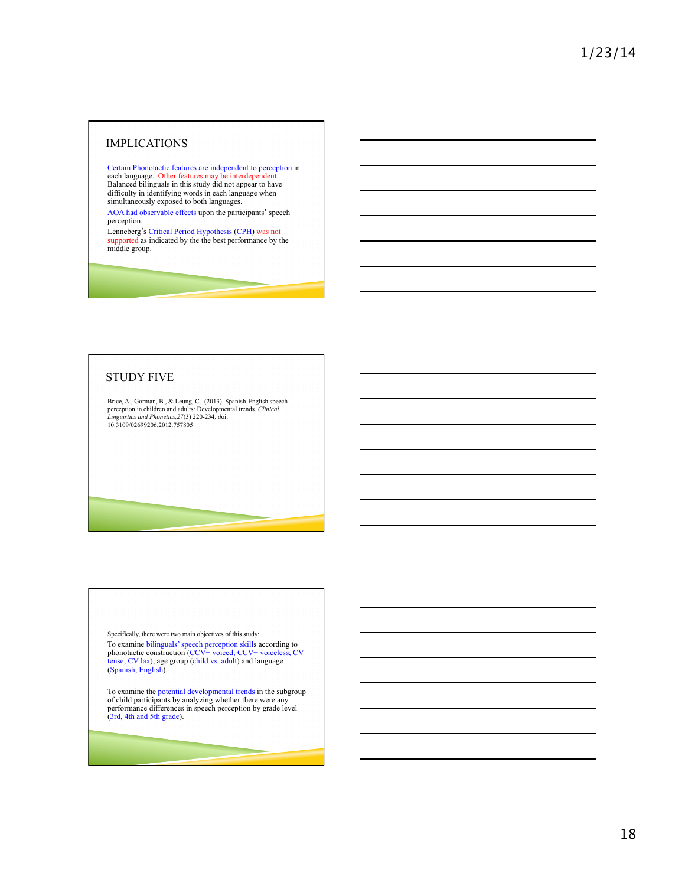## IMPLICATIONS

Certain Phonotactic features are independent to perception in<br>each language. Other features may be interdependent.<br>Balanced bilinguals in this study did not appear to have<br>difficulty in identifying words in each language w

AOA had observable effects upon the participants' speech perception.

Lenneberg's Critical Period Hypothesis (CPH) was not supported as indicated by the the best performance by the middle group.

## STUDY FIVE

Brice, A., Gorman, B., & Leung, C. (2013). Spanish-English speech perception in children and adults: Developmental trends. *Clinical Linguistics and Phonetics,27*(3) 220-234*, d*oi: 10.3109/02699206.2012.757805

Specifically, there were two main objectives of this study: To examine bilinguals' speech perception skills according to phonotactic construction (CCV+ voiced; CCV− voiceless; CV tense; CV lax), age group (child vs. adult) and language (Spanish, English).

To examine the potential developmental trends in the subgroup of child participants by analyzing whether there were any performance differences in speech perception by grade level (3rd, 4th and 5th grade).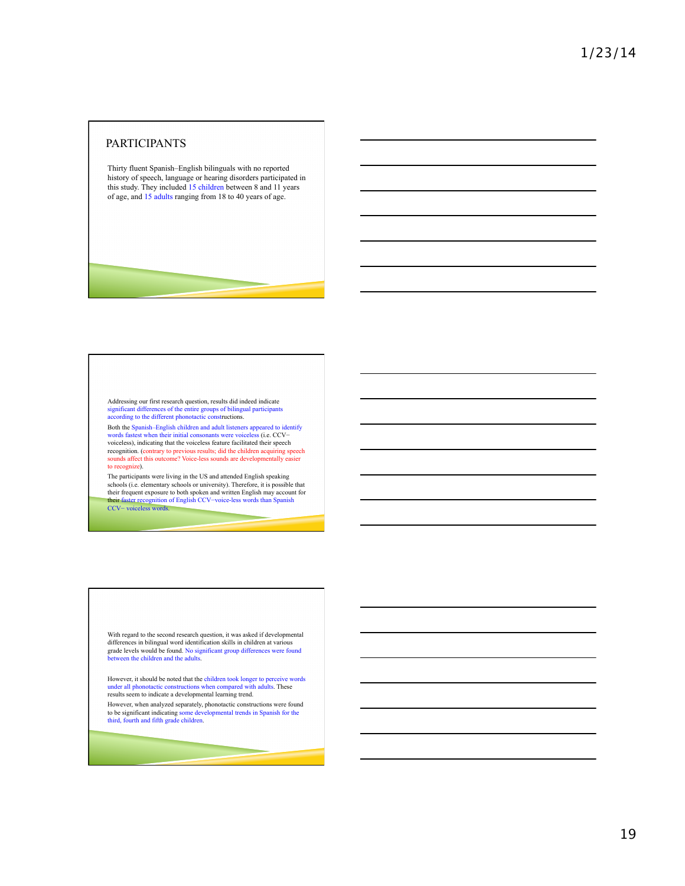## PARTICIPANTS

Thirty fluent Spanish–English bilinguals with no reported history of speech, language or hearing disorders participated in this study. They included 15 children between 8 and 11 years of age, and 15 adults ranging from 18 to 40 years of age.

Addressing our first research question, results did indeed indicate significant differences of the entire groups of bilingual participants according to the different phonotactic constructions.

Both the Spanish–English children and adult listeners appeared to identify words fastest when their initial consonants were voiceless (i.e. CCV− voiceless), indicating that the voiceless feature facilitated their speech recognition. (contrary to previous results; did the children acquiring speech sounds affect this outcome? Voice-less sounds are developmentally easier to recognize).

The participants were living in the US and attended English speaking schools (i.e. elementary schools or university). Therefore, it is possible that their frequent exposure to both spoken and written English may account for their faster recognition of English CCV−voice-less words than Spanish CCV−voice-less words.

With regard to the second research question, it was asked if developmental differences in bilingual word identification skills in children at various grade levels would be found. No significant group differences were found between the children and the adults.

However, it should be noted that the children took longer to perceive words under all phonotactic constructions when compared with adults. These results seem to indicate a developmental learning trend.

However, when analyzed separately, phonotactic constructions were found to be significant indicating some developmental trends in Spanish for the third, fourth and fifth grade children.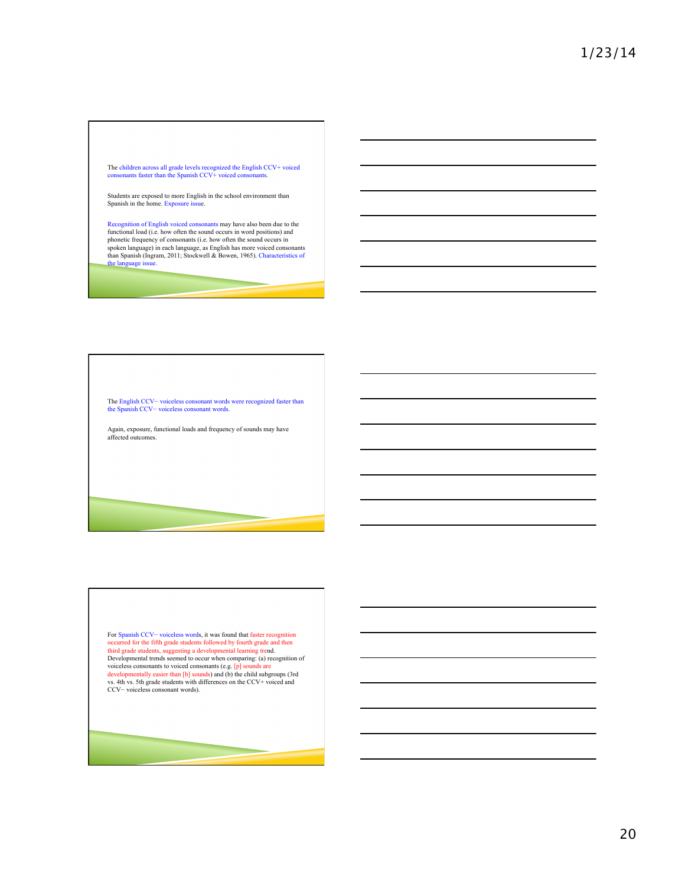The children across all grade levels recognized the English CCV+ voiced consonants faster than the Spanish CCV+ voiced consonants.

Students are exposed to more English in the school environment than Spanish in the home. Exposure issue.

Recognition of English voiced consonants may have also been due to the functional load (i.e. how often the sound occurs in word positions) and phonetic frequency of consonants (i.e. how often the sound occurs in spoken language) in each language, as English has more voiced consonants<br>than Spanish (Ingram, 2011; Stockwell & Bowen, 1965). Characteristics of the language issue.

The English CCV− voiceless consonant words were recognized faster than the Spanish CCV− voiceless consonant words.

Again, exposure, functional loads and frequency of sounds may have affected outcomes.

For Spanish CCV− voiceless words, it was found that faster recognition occurred for the fifth grade students followed by fourth grade and then third grade students, suggesting a developmental learning trend. Developmental trends seemed to occur when comparing: (a) recognition of voiceless consonants to voiced consonants (e.g. [p] sounds are developmentally easier than [b] sounds) and (b) the child subgroups (3rd vs. 4th vs. 5th grade students with differences on the CCV+ voiced and CCV− voiceless consonant words).